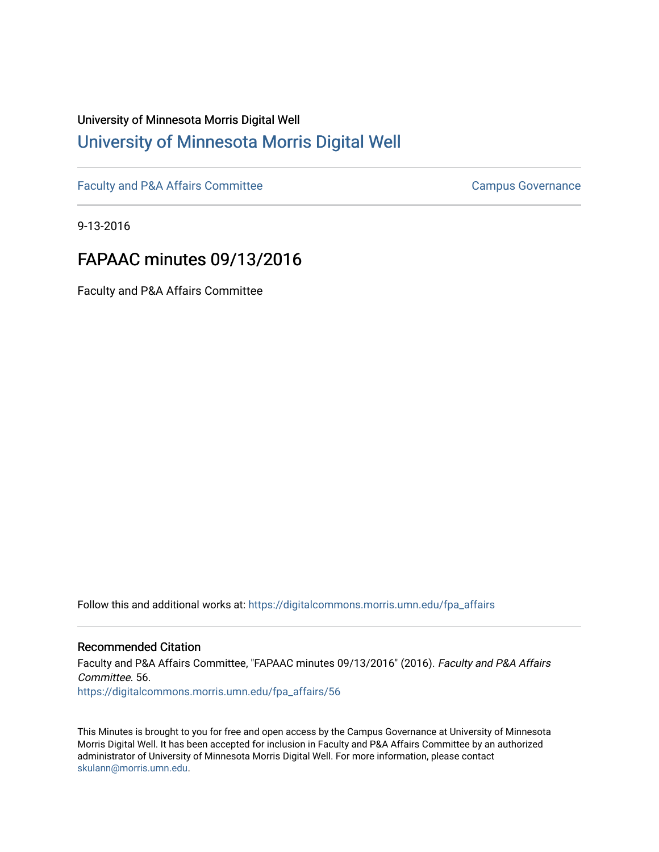## University of Minnesota Morris Digital Well [University of Minnesota Morris Digital Well](https://digitalcommons.morris.umn.edu/)

[Faculty and P&A Affairs Committee](https://digitalcommons.morris.umn.edu/fpa_affairs) [Campus Governance](https://digitalcommons.morris.umn.edu/campgov) Campus Governance

9-13-2016

## FAPAAC minutes 09/13/2016

Faculty and P&A Affairs Committee

Follow this and additional works at: [https://digitalcommons.morris.umn.edu/fpa\\_affairs](https://digitalcommons.morris.umn.edu/fpa_affairs?utm_source=digitalcommons.morris.umn.edu%2Ffpa_affairs%2F56&utm_medium=PDF&utm_campaign=PDFCoverPages)

## Recommended Citation

Faculty and P&A Affairs Committee, "FAPAAC minutes 09/13/2016" (2016). Faculty and P&A Affairs Committee. 56. [https://digitalcommons.morris.umn.edu/fpa\\_affairs/56](https://digitalcommons.morris.umn.edu/fpa_affairs/56?utm_source=digitalcommons.morris.umn.edu%2Ffpa_affairs%2F56&utm_medium=PDF&utm_campaign=PDFCoverPages) 

This Minutes is brought to you for free and open access by the Campus Governance at University of Minnesota Morris Digital Well. It has been accepted for inclusion in Faculty and P&A Affairs Committee by an authorized administrator of University of Minnesota Morris Digital Well. For more information, please contact [skulann@morris.umn.edu.](mailto:skulann@morris.umn.edu)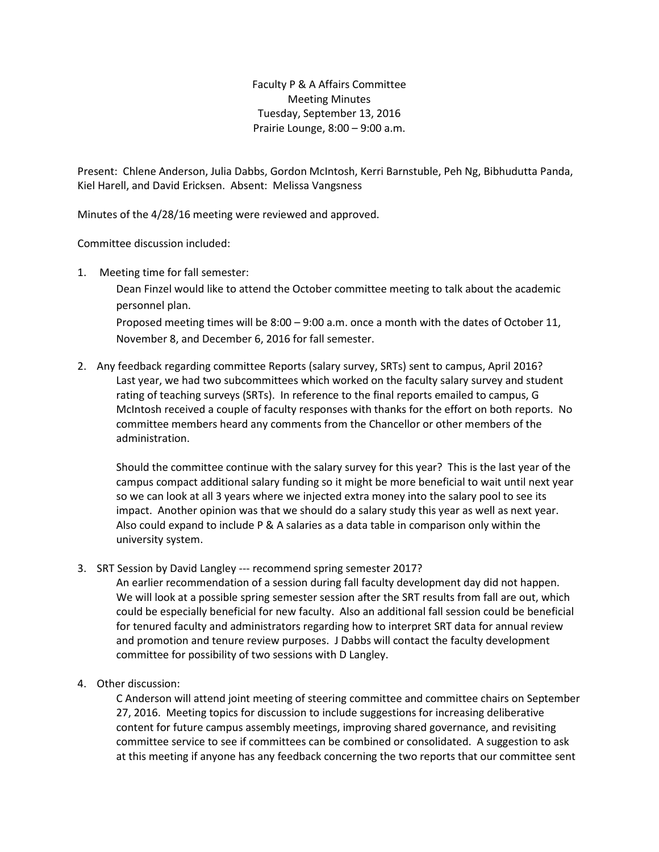Faculty P & A Affairs Committee Meeting Minutes Tuesday, September 13, 2016 Prairie Lounge, 8:00 – 9:00 a.m.

Present: Chlene Anderson, Julia Dabbs, Gordon McIntosh, Kerri Barnstuble, Peh Ng, Bibhudutta Panda, Kiel Harell, and David Ericksen. Absent: Melissa Vangsness

Minutes of the 4/28/16 meeting were reviewed and approved.

Committee discussion included:

1. Meeting time for fall semester:

Dean Finzel would like to attend the October committee meeting to talk about the academic personnel plan.

Proposed meeting times will be 8:00 – 9:00 a.m. once a month with the dates of October 11, November 8, and December 6, 2016 for fall semester.

2. Any feedback regarding committee Reports (salary survey, SRTs) sent to campus, April 2016? Last year, we had two subcommittees which worked on the faculty salary survey and student rating of teaching surveys (SRTs). In reference to the final reports emailed to campus, G McIntosh received a couple of faculty responses with thanks for the effort on both reports. No committee members heard any comments from the Chancellor or other members of the administration.

Should the committee continue with the salary survey for this year? This is the last year of the campus compact additional salary funding so it might be more beneficial to wait until next year so we can look at all 3 years where we injected extra money into the salary pool to see its impact. Another opinion was that we should do a salary study this year as well as next year. Also could expand to include P & A salaries as a data table in comparison only within the university system.

3. SRT Session by David Langley --- recommend spring semester 2017?

An earlier recommendation of a session during fall faculty development day did not happen. We will look at a possible spring semester session after the SRT results from fall are out, which could be especially beneficial for new faculty. Also an additional fall session could be beneficial for tenured faculty and administrators regarding how to interpret SRT data for annual review and promotion and tenure review purposes. J Dabbs will contact the faculty development committee for possibility of two sessions with D Langley.

4. Other discussion:

C Anderson will attend joint meeting of steering committee and committee chairs on September 27, 2016. Meeting topics for discussion to include suggestions for increasing deliberative content for future campus assembly meetings, improving shared governance, and revisiting committee service to see if committees can be combined or consolidated. A suggestion to ask at this meeting if anyone has any feedback concerning the two reports that our committee sent